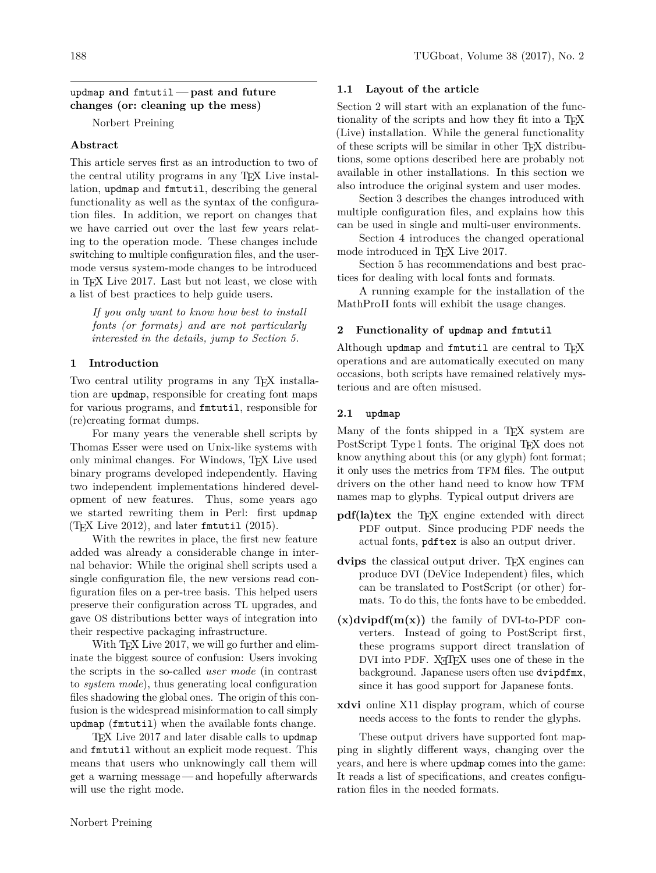### updmap **and** fmtutil**— past and future changes (or: cleaning up the mess)**

Norbert Preining

# **Abstract**

This article serves first as an introduction to two of the central utility programs in any TEX Live installation, updmap and fmtutil, describing the general functionality as well as the syntax of the configuration files. In addition, we report on changes that we have carried out over the last few years relating to the operation mode. These changes include switching to multiple configuration files, and the usermode versus system-mode changes to be introduced in TEX Live 2017. Last but not least, we close with a list of best practices to help guide users.

*If you only want to know how best to install fonts (or formats) and are not particularly interested in the details, jump to Section 5.*

## **1 Introduction**

Two central utility programs in any T<sub>E</sub>X installation are updmap, responsible for creating font maps for various programs, and fmtutil, responsible for (re)creating format dumps.

For many years the venerable shell scripts by Thomas Esser were used on Unix-like systems with only minimal changes. For Windows, TEX Live used binary programs developed independently. Having two independent implementations hindered development of new features. Thus, some years ago we started rewriting them in Perl: first updmap  $(TFX \text{ Live } 2012)$ , and later fmtutil  $(2015)$ .

With the rewrites in place, the first new feature added was already a considerable change in internal behavior: While the original shell scripts used a single configuration file, the new versions read configuration files on a per-tree basis. This helped users preserve their configuration across TL upgrades, and gave OS distributions better ways of integration into their respective packaging infrastructure.

With T<sub>E</sub>X Live 2017, we will go further and eliminate the biggest source of confusion: Users invoking the scripts in the so-called *user mode* (in contrast to *system mode*), thus generating local configuration files shadowing the global ones. The origin of this confusion is the widespread misinformation to call simply updmap (fmtutil) when the available fonts change.

TEX Live 2017 and later disable calls to updmap and fmtutil without an explicit mode request. This means that users who unknowingly call them will get a warning message— and hopefully afterwards will use the right mode.

#### **1.1 Layout of the article**

Section 2 will start with an explanation of the functionality of the scripts and how they fit into a T<sub>E</sub>X (Live) installation. While the general functionality of these scripts will be similar in other TEX distributions, some options described here are probably not available in other installations. In this section we also introduce the original system and user modes.

Section 3 describes the changes introduced with multiple configuration files, and explains how this can be used in single and multi-user environments.

Section 4 introduces the changed operational mode introduced in T<sub>EX</sub> Live 2017.

Section 5 has recommendations and best practices for dealing with local fonts and formats.

A running example for the installation of the MathProII fonts will exhibit the usage changes.

#### **2 Functionality of updmap and fmtutil**

Although updmap and fmtutil are central to  $T_{F}X$ operations and are automatically executed on many occasions, both scripts have remained relatively mysterious and are often misused.

## **2.1 updmap**

Many of the fonts shipped in a TEX system are PostScript Type 1 fonts. The original T<sub>EX</sub> does not know anything about this (or any glyph) font format; it only uses the metrics from TFM files. The output drivers on the other hand need to know how TFM names map to glyphs. Typical output drivers are

- **pdf(la)tex** the T<sub>E</sub>X engine extended with direct PDF output. Since producing PDF needs the actual fonts, pdftex is also an output driver.
- dvips the classical output driver. T<sub>EX</sub> engines can produce DVI (DeVice Independent) files, which can be translated to PostScript (or other) formats. To do this, the fonts have to be embedded.
- $(x)$ dvipdf( $m(x)$ ) the family of DVI-to-PDF converters. Instead of going to PostScript first, these programs support direct translation of DVI into PDF. X<sub>T</sub>T<sub>F</sub>X uses one of these in the background. Japanese users often use dvipdfmx, since it has good support for Japanese fonts.
- **xdvi** online X11 display program, which of course needs access to the fonts to render the glyphs.

These output drivers have supported font mapping in slightly different ways, changing over the years, and here is where updmap comes into the game: It reads a list of specifications, and creates configuration files in the needed formats.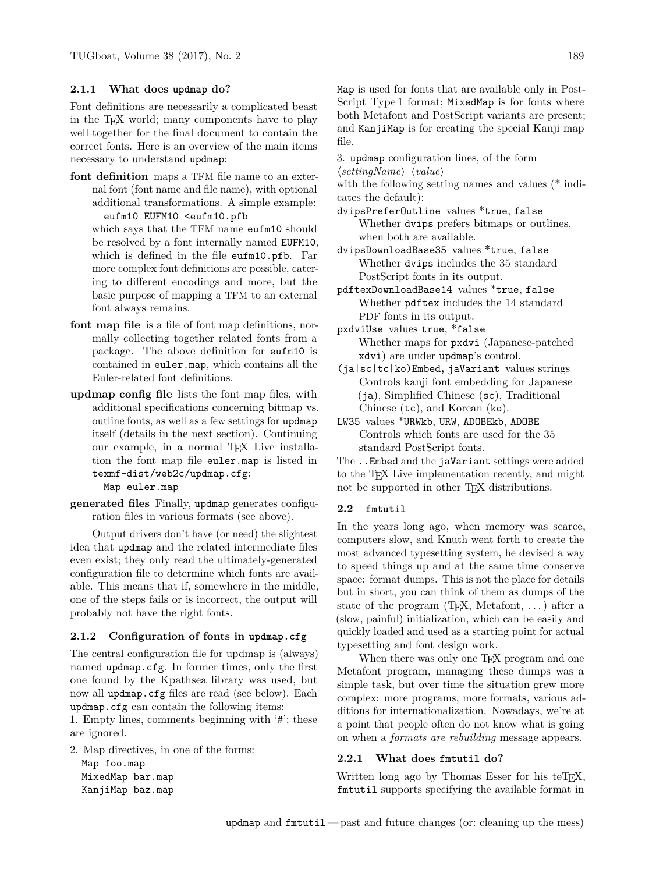## **2.1.1 What does updmap do?**

Font definitions are necessarily a complicated beast in the TEX world; many components have to play well together for the final document to contain the correct fonts. Here is an overview of the main items necessary to understand updmap:

**font definition** maps a TFM file name to an external font (font name and file name), with optional additional transformations. A simple example: eufm10 EUFM10 <eufm10.pfb

which says that the TFM name eufm10 should be resolved by a font internally named EUFM10, which is defined in the file eufm10.pfb. Far more complex font definitions are possible, catering to different encodings and more, but the basic purpose of mapping a TFM to an external font always remains.

- **font map file** is a file of font map definitions, normally collecting together related fonts from a package. The above definition for eufm10 is contained in euler.map, which contains all the Euler-related font definitions.
- **updmap config file** lists the font map files, with additional specifications concerning bitmap vs. outline fonts, as well as a few settings for updmap itself (details in the next section). Continuing our example, in a normal T<sub>E</sub>X Live installation the font map file euler.map is listed in texmf-dist/web2c/updmap.cfg:

Map euler.map

**generated files** Finally, updmap generates configuration files in various formats (see above).

Output drivers don't have (or need) the slightest idea that updmap and the related intermediate files even exist; they only read the ultimately-generated configuration file to determine which fonts are available. This means that if, somewhere in the middle, one of the steps fails or is incorrect, the output will probably not have the right fonts.

# **2.1.2 Configuration of fonts in updmap.cfg**

The central configuration file for updmap is (always) named updmap.cfg. In former times, only the first one found by the Kpathsea library was used, but now all updmap.cfg files are read (see below). Each updmap.cfg can contain the following items:

1. Empty lines, comments beginning with '#'; these are ignored.

2. Map directives, in one of the forms: Map foo.map

MixedMap bar.map KanjiMap baz.map Map is used for fonts that are available only in Post-Script Type 1 format; MixedMap is for fonts where both Metafont and PostScript variants are present; and KanjiMap is for creating the special Kanji map file.

3. updmap configuration lines, of the form  $\langle settingName \rangle \langle value \rangle$ 

with the following setting names and values (\* indicates the default):

dvipsPreferOutline values \*true, false Whether dvips prefers bitmaps or outlines, when both are available.

- dvipsDownloadBase35 values \*true, false Whether dvips includes the 35 standard PostScript fonts in its output.
- pdftexDownloadBase14 values \*true, false Whether pdftex includes the 14 standard PDF fonts in its output.
- pxdviUse values true, \*false Whether maps for pxdvi (Japanese-patched xdvi) are under updmap's control.
- (ja|sc|tc|ko)Embed**,** jaVariant values strings Controls kanji font embedding for Japanese (ja), Simplified Chinese (sc), Traditional Chinese (tc), and Korean (ko).
- LW35 values \*URWkb, URW, ADOBEkb, ADOBE Controls which fonts are used for the 35 standard PostScript fonts.

The ..Embed and the jaVariant settings were added to the TEX Live implementation recently, and might not be supported in other T<sub>EX</sub> distributions.

### **2.2 fmtutil**

In the years long ago, when memory was scarce, computers slow, and Knuth went forth to create the most advanced typesetting system, he devised a way to speed things up and at the same time conserve space: format dumps. This is not the place for details but in short, you can think of them as dumps of the state of the program (TEX, Metafont, . . . ) after a (slow, painful) initialization, which can be easily and quickly loaded and used as a starting point for actual typesetting and font design work.

When there was only one T<sub>E</sub>X program and one Metafont program, managing these dumps was a simple task, but over time the situation grew more complex: more programs, more formats, various additions for internationalization. Nowadays, we're at a point that people often do not know what is going on when a *formats are rebuilding* message appears.

#### **2.2.1 What does fmtutil do?**

Written long ago by Thomas Esser for his teTFX, fmtutil supports specifying the available format in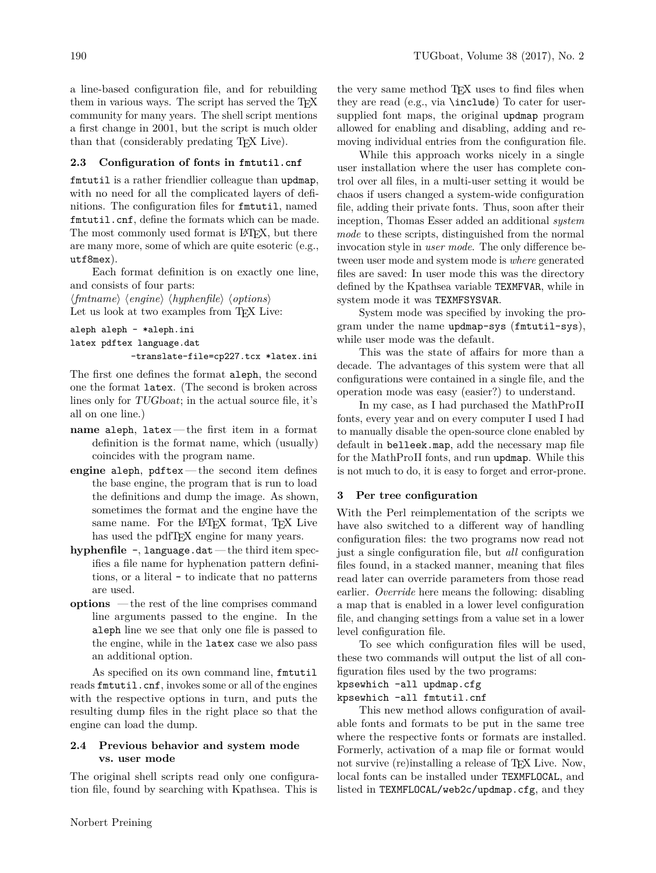a line-based configuration file, and for rebuilding them in various ways. The script has served the TEX community for many years. The shell script mentions a first change in 2001, but the script is much older than that (considerably predating TEX Live).

# **2.3 Configuration of fonts in fmtutil.cnf**

fmtutil is a rather friendlier colleague than updmap, with no need for all the complicated layers of definitions. The configuration files for fmtutil, named fmtutil.cnf, define the formats which can be made. The most commonly used format is L<sup>AT</sup>FX, but there are many more, some of which are quite esoteric (e.g., utf8mex).

Each format definition is on exactly one line, and consists of four parts:

 $\langle fmtname \rangle$   $\langle engine \rangle$   $\langle hyphenfile \rangle$   $\langle options \rangle$ Let us look at two examples from T<sub>F</sub>X Live:

```
aleph aleph - *aleph.ini
latex pdftex language.dat
            -translate-file=cp227.tcx *latex.ini
```
The first one defines the format aleph, the second one the format latex. (The second is broken across lines only for TUGboat; in the actual source file, it's all on one line.)

- **name** aleph, latex— the first item in a format definition is the format name, which (usually) coincides with the program name.
- **engine** aleph, pdftex— the second item defines the base engine, the program that is run to load the definitions and dump the image. As shown, sometimes the format and the engine have the same name. For the L<sup>AT</sup>FX format, TFX Live has used the pdfT<sub>F</sub>X engine for many years.
- **hyphenfile** -, language.dat the third item specifies a file name for hyphenation pattern definitions, or a literal - to indicate that no patterns are used.
- **options** the rest of the line comprises command line arguments passed to the engine. In the aleph line we see that only one file is passed to the engine, while in the latex case we also pass an additional option.

As specified on its own command line, fmtutil reads fmtutil.cnf, invokes some or all of the engines with the respective options in turn, and puts the resulting dump files in the right place so that the engine can load the dump.

# **2.4 Previous behavior and system mode vs. user mode**

The original shell scripts read only one configuration file, found by searching with Kpathsea. This is

the very same method T<sub>E</sub>X uses to find files when they are read (e.g., via \include) To cater for usersupplied font maps, the original updmap program allowed for enabling and disabling, adding and removing individual entries from the configuration file.

While this approach works nicely in a single user installation where the user has complete control over all files, in a multi-user setting it would be chaos if users changed a system-wide configuration file, adding their private fonts. Thus, soon after their inception, Thomas Esser added an additional *system mode* to these scripts, distinguished from the normal invocation style in *user mode*. The only difference between user mode and system mode is *where* generated files are saved: In user mode this was the directory defined by the Kpathsea variable TEXMFVAR, while in system mode it was TEXMFSYSVAR.

System mode was specified by invoking the program under the name updmap-sys (fmtutil-sys), while user mode was the default.

This was the state of affairs for more than a decade. The advantages of this system were that all configurations were contained in a single file, and the operation mode was easy (easier?) to understand.

In my case, as I had purchased the MathProII fonts, every year and on every computer I used I had to manually disable the open-source clone enabled by default in belleek.map, add the necessary map file for the MathProII fonts, and run updmap. While this is not much to do, it is easy to forget and error-prone.

### **3 Per tree configuration**

With the Perl reimplementation of the scripts we have also switched to a different way of handling configuration files: the two programs now read not just a single configuration file, but *all* configuration files found, in a stacked manner, meaning that files read later can override parameters from those read earlier. *Override* here means the following: disabling a map that is enabled in a lower level configuration file, and changing settings from a value set in a lower level configuration file.

To see which configuration files will be used, these two commands will output the list of all configuration files used by the two programs:

```
kpsewhich -all updmap.cfg
```
kpsewhich -all fmtutil.cnf

This new method allows configuration of available fonts and formats to be put in the same tree where the respective fonts or formats are installed. Formerly, activation of a map file or format would not survive (re)installing a release of TEX Live. Now, local fonts can be installed under TEXMFLOCAL, and listed in TEXMFLOCAL/web2c/updmap.cfg, and they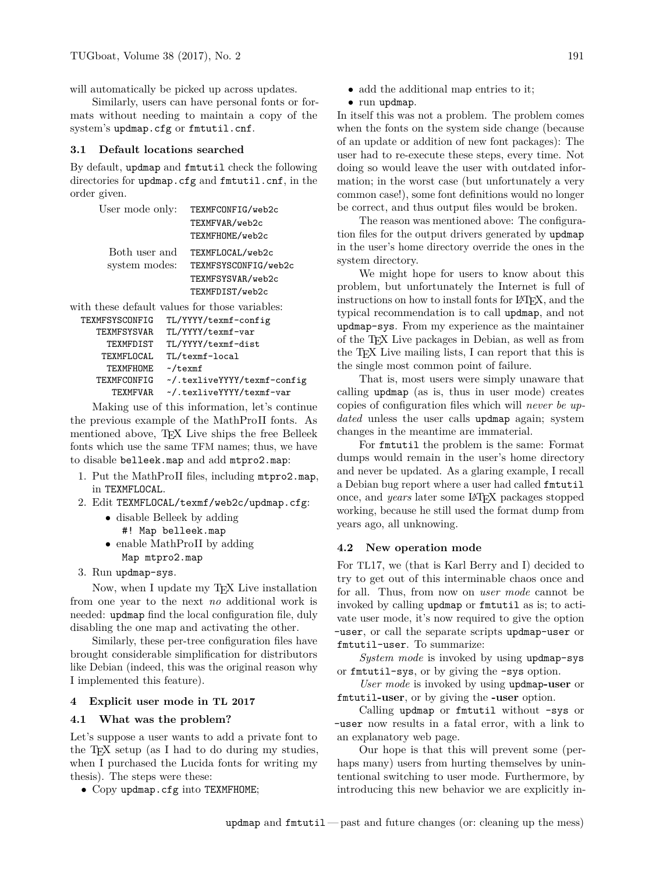will automatically be picked up across updates.

Similarly, users can have personal fonts or formats without needing to maintain a copy of the system's updmap.cfg or fmtutil.cnf.

### **3.1 Default locations searched**

By default, updmap and fmtutil check the following directories for updmap.cfg and fmtutil.cnf, in the order given.

| User mode only: | TEXMFCONFIG/web2c    |
|-----------------|----------------------|
|                 | TEXMFVAR/web2c       |
|                 | TEXMFHOME/web2c      |
| Both user and   | TEXMFLOCAL/web2c     |
| system modes:   | TEXMFSYSCONFIG/web2c |
|                 | TEXMFSYSVAR/web2c    |
|                 | TEXMFDIST/web2c      |
|                 |                      |

with these default values for those variables:

| TEXMFSYSCONFIG     | TL/YYYY/texmf-config        |
|--------------------|-----------------------------|
| <b>TEXMFSYSVAR</b> | TL/YYYY/texmf-var           |
| TEXMFDIST          | TL/YYYY/texmf-dist          |
| TEXMFLOCAL         | TL/texmf-local              |
| TEXMFHOME          | $\sim$ /texmf               |
| TEXMFCONFIG        | ~/.texliveYYYY/texmf-config |
| <b>TEXMFVAR</b>    | ~/.texliveYYYY/texmf-var    |
|                    |                             |

Making use of this information, let's continue the previous example of the MathProII fonts. As mentioned above, T<sub>EX</sub> Live ships the free Belleek fonts which use the same TFM names; thus, we have to disable belleek.map and add mtpro2.map:

- 1. Put the MathProII files, including mtpro2.map, in TEXMFLOCAL.
- 2. Edit TEXMFLOCAL/texmf/web2c/updmap.cfg:
	- disable Belleek by adding #! Map belleek.map
	- enable MathProII by adding Map mtpro2.map
- 3. Run updmap-sys.

Now, when I update my T<sub>EX</sub> Live installation from one year to the next *no* additional work is needed: updmap find the local configuration file, duly disabling the one map and activating the other.

Similarly, these per-tree configuration files have brought considerable simplification for distributors like Debian (indeed, this was the original reason why I implemented this feature).

#### **4 Explicit user mode in TL 2017**

#### **4.1 What was the problem?**

Let's suppose a user wants to add a private font to the TEX setup (as I had to do during my studies, when I purchased the Lucida fonts for writing my thesis). The steps were these:

• Copy updmap.cfg into TEXMFHOME;

- add the additional map entries to it;
- run updmap.

In itself this was not a problem. The problem comes when the fonts on the system side change (because of an update or addition of new font packages): The user had to re-execute these steps, every time. Not doing so would leave the user with outdated information; in the worst case (but unfortunately a very common case!), some font definitions would no longer be correct, and thus output files would be broken.

The reason was mentioned above: The configuration files for the output drivers generated by updmap in the user's home directory override the ones in the system directory.

We might hope for users to know about this problem, but unfortunately the Internet is full of instructions on how to install fonts for LAT<sub>EX</sub>, and the typical recommendation is to call updmap, and not updmap-sys. From my experience as the maintainer of the TEX Live packages in Debian, as well as from the T<sub>F</sub>X Live mailing lists, I can report that this is the single most common point of failure.

That is, most users were simply unaware that calling updmap (as is, thus in user mode) creates copies of configuration files which will *never be updated* unless the user calls updmap again; system changes in the meantime are immaterial.

For fmtutil the problem is the same: Format dumps would remain in the user's home directory and never be updated. As a glaring example, I recall a Debian bug report where a user had called fmtutil once, and *years* later some LATEX packages stopped working, because he still used the format dump from years ago, all unknowing.

### **4.2 New operation mode**

For TL17, we (that is Karl Berry and I) decided to try to get out of this interminable chaos once and for all. Thus, from now on *user mode* cannot be invoked by calling updmap or fmtutil as is; to activate user mode, it's now required to give the option -user, or call the separate scripts updmap-user or fmtutil-user. To summarize:

*System mode* is invoked by using updmap-sys or fmtutil-sys, or by giving the -sys option.

*User mode* is invoked by using updmap**-user** or fmtutil**-user**, or by giving the **-user** option.

Calling updmap or fmtutil without -sys or -user now results in a fatal error, with a link to an explanatory web page.

Our hope is that this will prevent some (perhaps many) users from hurting themselves by unintentional switching to user mode. Furthermore, by introducing this new behavior we are explicitly in